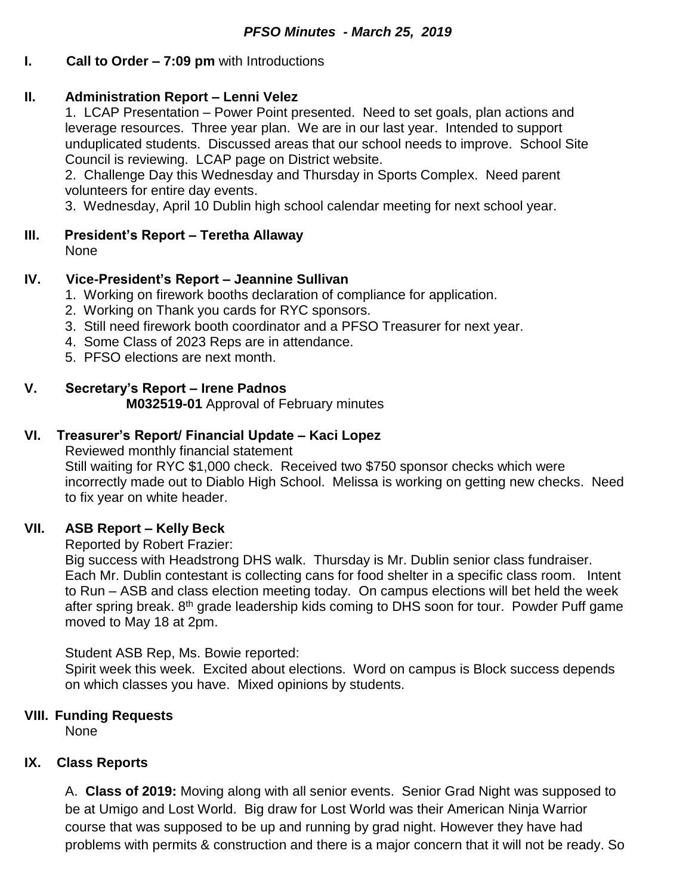### **I. Call to Order – 7:09 pm** with Introductions

### **II. Administration Report – Lenni Velez**

1. LCAP Presentation – Power Point presented. Need to set goals, plan actions and leverage resources. Three year plan. We are in our last year. Intended to support unduplicated students. Discussed areas that our school needs to improve. School Site Council is reviewing. LCAP page on District website.

2. Challenge Day this Wednesday and Thursday in Sports Complex. Need parent volunteers for entire day events.

3. Wednesday, April 10 Dublin high school calendar meeting for next school year.

# **III. President's Report – Teretha Allaway**

None

### **IV. Vice-President's Report – Jeannine Sullivan**

- 1. Working on firework booths declaration of compliance for application.
- 2. Working on Thank you cards for RYC sponsors.
- 3. Still need firework booth coordinator and a PFSO Treasurer for next year.
- 4. Some Class of 2023 Reps are in attendance.
- 5. PFSO elections are next month.

# **V. Secretary's Report – Irene Padnos**

**M032519-01** Approval of February minutes

# **VI. Treasurer's Report/ Financial Update – Kaci Lopez**

Reviewed monthly financial statement Still waiting for RYC \$1,000 check. Received two \$750 sponsor checks which were incorrectly made out to Diablo High School. Melissa is working on getting new checks. Need to fix year on white header.

# **VII. ASB Report – Kelly Beck**

Reported by Robert Frazier:

Big success with Headstrong DHS walk. Thursday is Mr. Dublin senior class fundraiser. Each Mr. Dublin contestant is collecting cans for food shelter in a specific class room. Intent to Run – ASB and class election meeting today. On campus elections will bet held the week after spring break. 8<sup>th</sup> grade leadership kids coming to DHS soon for tour. Powder Puff game moved to May 18 at 2pm.

### Student ASB Rep, Ms. Bowie reported:

Spirit week this week. Excited about elections. Word on campus is Block success depends on which classes you have. Mixed opinions by students.

# **VIII. Funding Requests**

None

# **IX. Class Reports**

A. **Class of 2019:** Moving along with all senior events. Senior Grad Night was supposed to be at Umigo and Lost World. Big draw for Lost World was their American Ninja Warrior course that was supposed to be up and running by grad night. However they have had problems with permits & construction and there is a major concern that it will not be ready. So